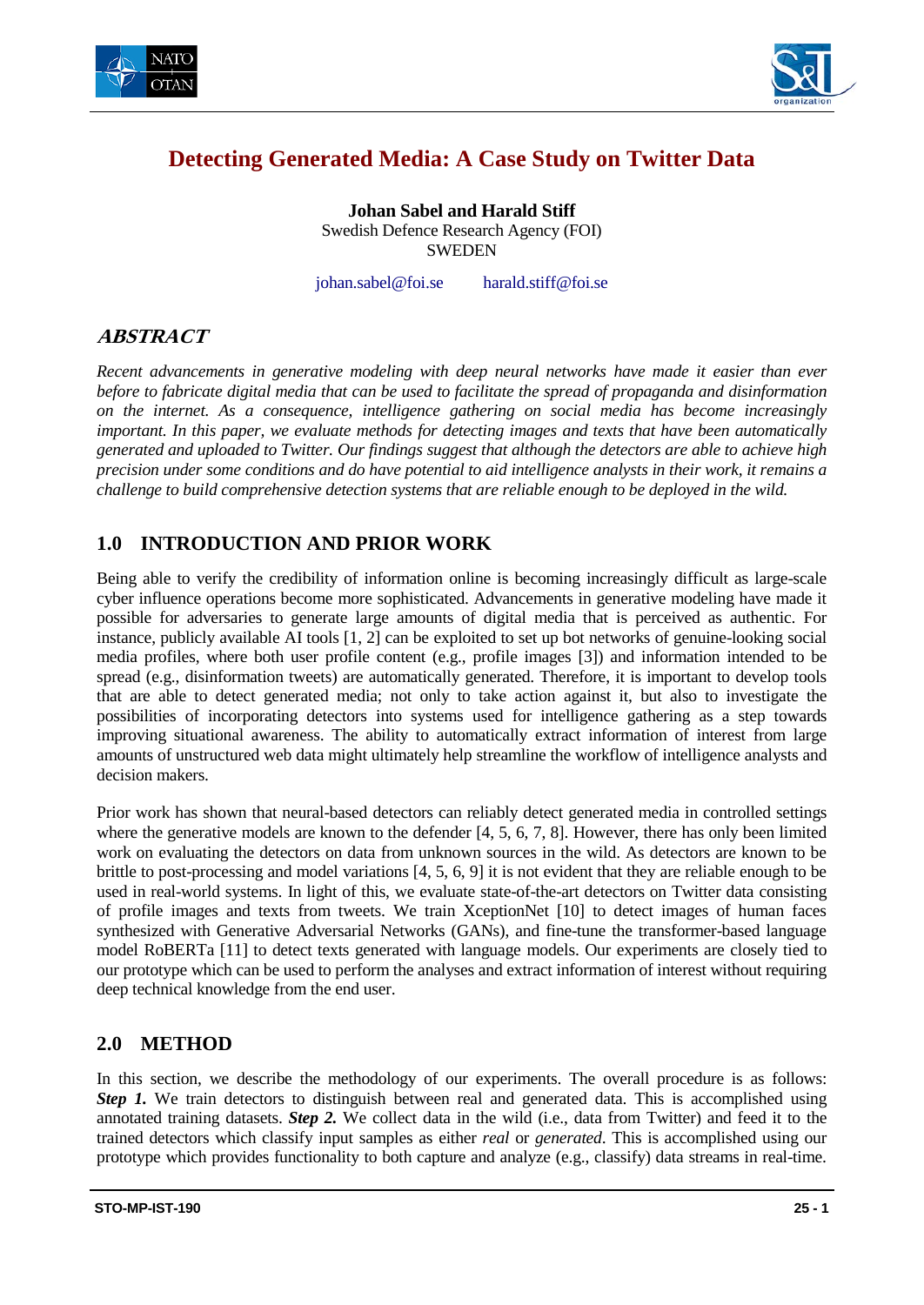



# **Detecting Generated Media: A Case Study on Twitter Data**

**Johan Sabel and Harald Stiff** Swedish Defence Research Agency (FOI) **SWEDEN** 

johan.sabel@foi.se harald.stiff@foi.se

## **ABSTRACT**

*Recent advancements in generative modeling with deep neural networks have made it easier than ever before to fabricate digital media that can be used to facilitate the spread of propaganda and disinformation on the internet. As a consequence, intelligence gathering on social media has become increasingly important. In this paper, we evaluate methods for detecting images and texts that have been automatically generated and uploaded to Twitter. Our findings suggest that although the detectors are able to achieve high precision under some conditions and do have potential to aid intelligence analysts in their work, it remains a challenge to build comprehensive detection systems that are reliable enough to be deployed in the wild.*

## **1.0 INTRODUCTION AND PRIOR WORK**

Being able to verify the credibility of information online is becoming increasingly difficult as large-scale cyber influence operations become more sophisticated. Advancements in generative modeling have made it possible for adversaries to generate large amounts of digital media that is perceived as authentic. For instance, publicly available AI tools [1, 2] can be exploited to set up bot networks of genuine-looking social media profiles, where both user profile content (e.g., profile images [3]) and information intended to be spread (e.g., disinformation tweets) are automatically generated. Therefore, it is important to develop tools that are able to detect generated media; not only to take action against it, but also to investigate the possibilities of incorporating detectors into systems used for intelligence gathering as a step towards improving situational awareness. The ability to automatically extract information of interest from large amounts of unstructured web data might ultimately help streamline the workflow of intelligence analysts and decision makers.

Prior work has shown that neural-based detectors can reliably detect generated media in controlled settings where the generative models are known to the defender [4, 5, 6, 7, 8]. However, there has only been limited work on evaluating the detectors on data from unknown sources in the wild. As detectors are known to be brittle to post-processing and model variations [4, 5, 6, 9] it is not evident that they are reliable enough to be used in real-world systems. In light of this, we evaluate state-of-the-art detectors on Twitter data consisting of profile images and texts from tweets. We train XceptionNet [10] to detect images of human faces synthesized with Generative Adversarial Networks (GANs), and fine-tune the transformer-based language model RoBERTa [11] to detect texts generated with language models. Our experiments are closely tied to our prototype which can be used to perform the analyses and extract information of interest without requiring deep technical knowledge from the end user.

## **2.0 METHOD**

In this section, we describe the methodology of our experiments. The overall procedure is as follows: *Step 1*. We train detectors to distinguish between real and generated data. This is accomplished using annotated training datasets. *Step 2.* We collect data in the wild (i.e., data from Twitter) and feed it to the trained detectors which classify input samples as either *real* or *generated*. This is accomplished using our prototype which provides functionality to both capture and analyze (e.g., classify) data streams in real-time.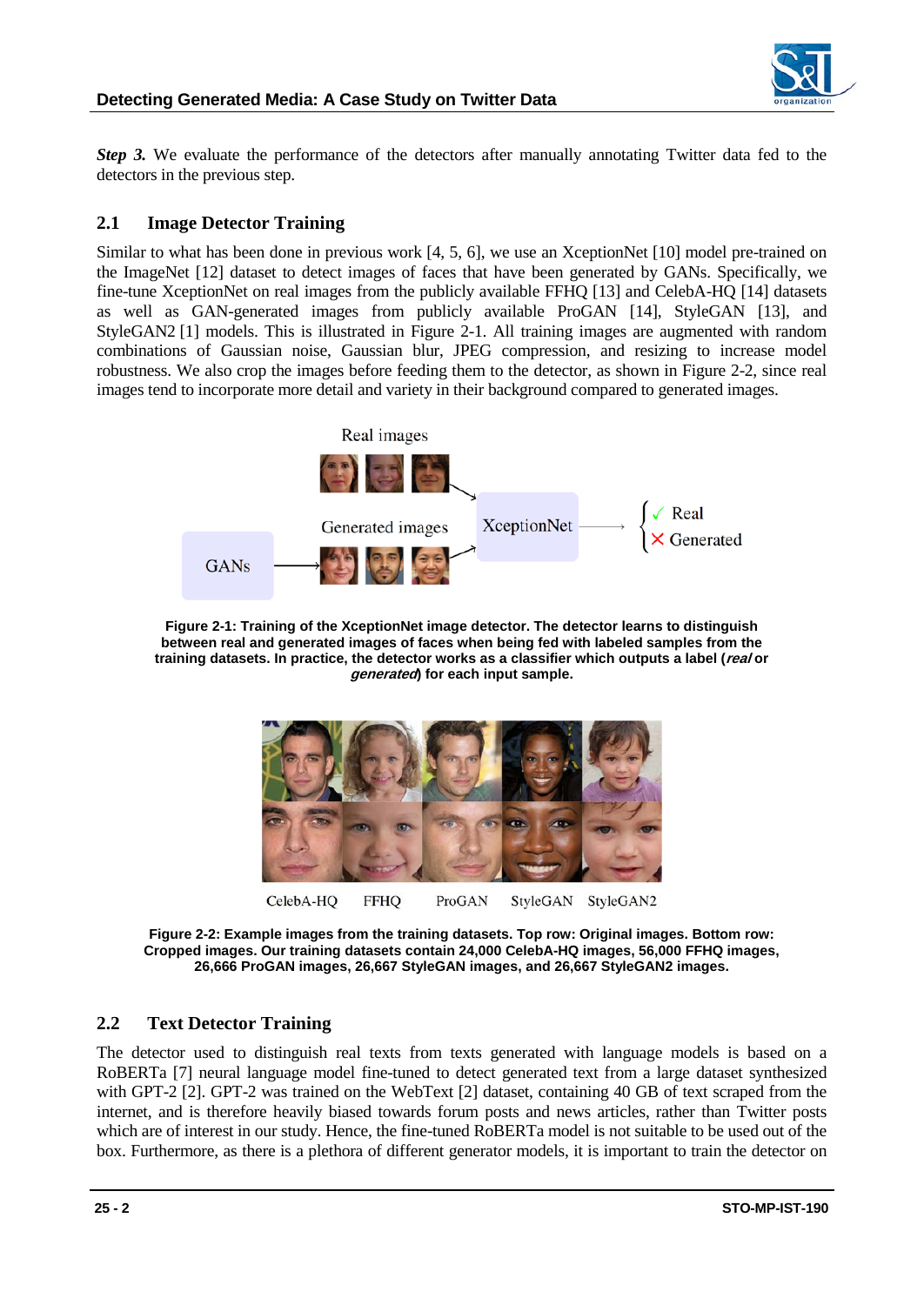

*Step 3.* We evaluate the performance of the detectors after manually annotating Twitter data fed to the detectors in the previous step.

### **2.1 Image Detector Training**

Similar to what has been done in previous work [4, 5, 6], we use an XceptionNet [10] model pre-trained on the ImageNet [12] dataset to detect images of faces that have been generated by GANs. Specifically, we fine-tune XceptionNet on real images from the publicly available FFHQ [13] and CelebA-HQ [14] datasets as well as GAN-generated images from publicly available ProGAN [14], StyleGAN [13], and StyleGAN2 [1] models. This is illustrated in Figure 2-1. All training images are augmented with random combinations of Gaussian noise, Gaussian blur, JPEG compression, and resizing to increase model robustness. We also crop the images before feeding them to the detector, as shown in Figure 2-2, since real images tend to incorporate more detail and variety in their background compared to generated images.



**Figure 2-1: Training of the XceptionNet image detector. The detector learns to distinguish between real and generated images of faces when being fed with labeled samples from the training datasets. In practice, the detector works as a classifier which outputs a label (real or generated) for each input sample.**



**Figure 2-2: Example images from the training datasets. Top row: Original images. Bottom row: Cropped images. Our training datasets contain 24,000 CelebA-HQ images, 56,000 FFHQ images, 26,666 ProGAN images, 26,667 StyleGAN images, and 26,667 StyleGAN2 images.**

### **2.2 Text Detector Training**

The detector used to distinguish real texts from texts generated with language models is based on a RoBERTa [7] neural language model fine-tuned to detect generated text from a large dataset synthesized with GPT-2 [2]. GPT-2 was trained on the WebText [2] dataset, containing 40 GB of text scraped from the internet, and is therefore heavily biased towards forum posts and news articles, rather than Twitter posts which are of interest in our study. Hence, the fine-tuned RoBERTa model is not suitable to be used out of the box. Furthermore, as there is a plethora of different generator models, it is important to train the detector on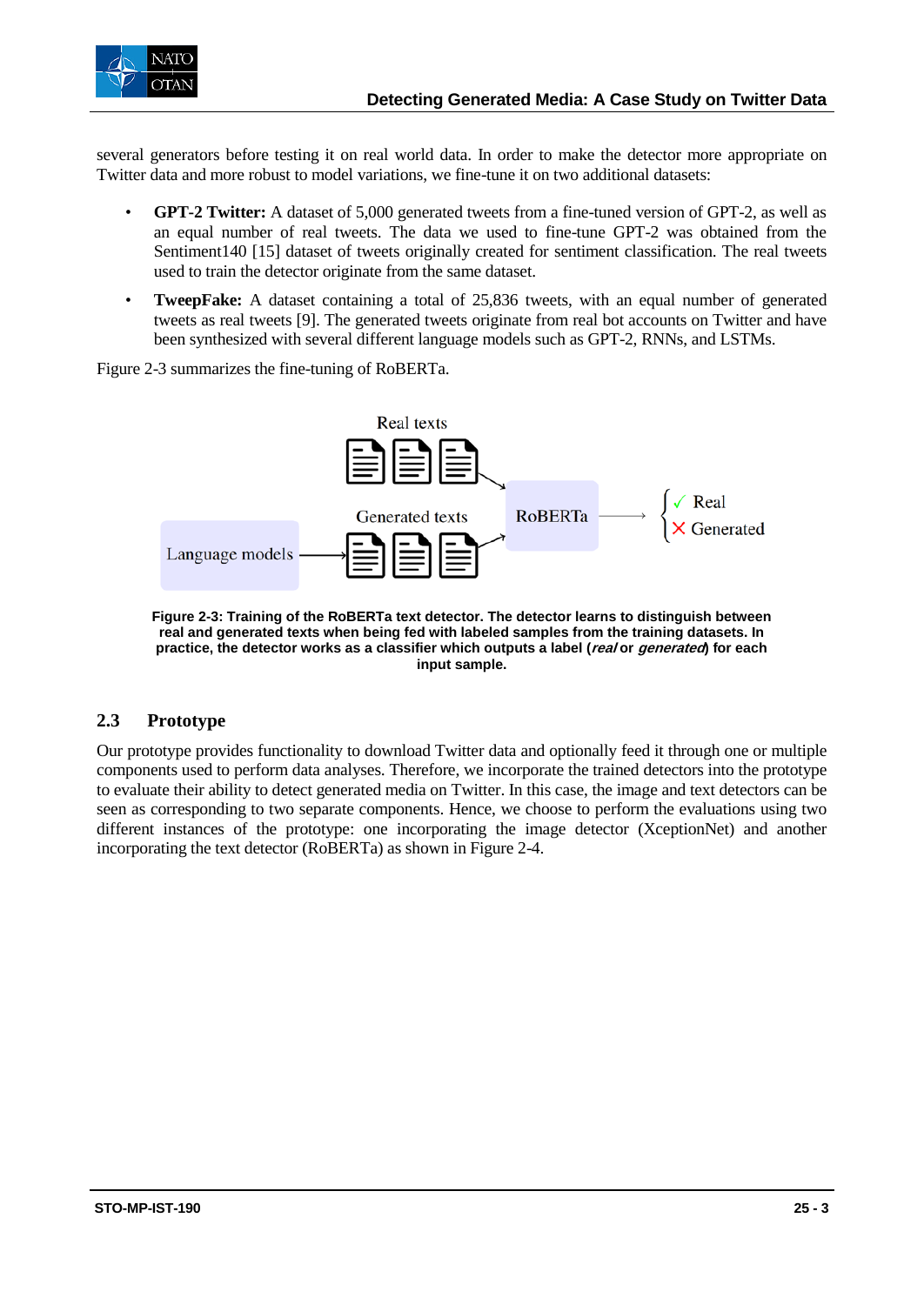

several generators before testing it on real world data. In order to make the detector more appropriate on Twitter data and more robust to model variations, we fine-tune it on two additional datasets:

- **GPT-2 Twitter:** A dataset of 5,000 generated tweets from a fine-tuned version of GPT-2, as well as an equal number of real tweets. The data we used to fine-tune GPT-2 was obtained from the Sentiment140 [15] dataset of tweets originally created for sentiment classification. The real tweets used to train the detector originate from the same dataset.
- **TweepFake:** A dataset containing a total of 25,836 tweets, with an equal number of generated tweets as real tweets [9]. The generated tweets originate from real bot accounts on Twitter and have been synthesized with several different language models such as GPT-2, RNNs, and LSTMs.

Figure 2-3 summarizes the fine-tuning of RoBERTa.



**Figure 2-3: Training of the RoBERTa text detector. The detector learns to distinguish between real and generated texts when being fed with labeled samples from the training datasets. In practice, the detector works as a classifier which outputs a label (real or generated) for each input sample.**

### **2.3 Prototype**

Our prototype provides functionality to download Twitter data and optionally feed it through one or multiple components used to perform data analyses. Therefore, we incorporate the trained detectors into the prototype to evaluate their ability to detect generated media on Twitter. In this case, the image and text detectors can be seen as corresponding to two separate components. Hence, we choose to perform the evaluations using two different instances of the prototype: one incorporating the image detector (XceptionNet) and another incorporating the text detector (RoBERTa) as shown in Figure 2-4.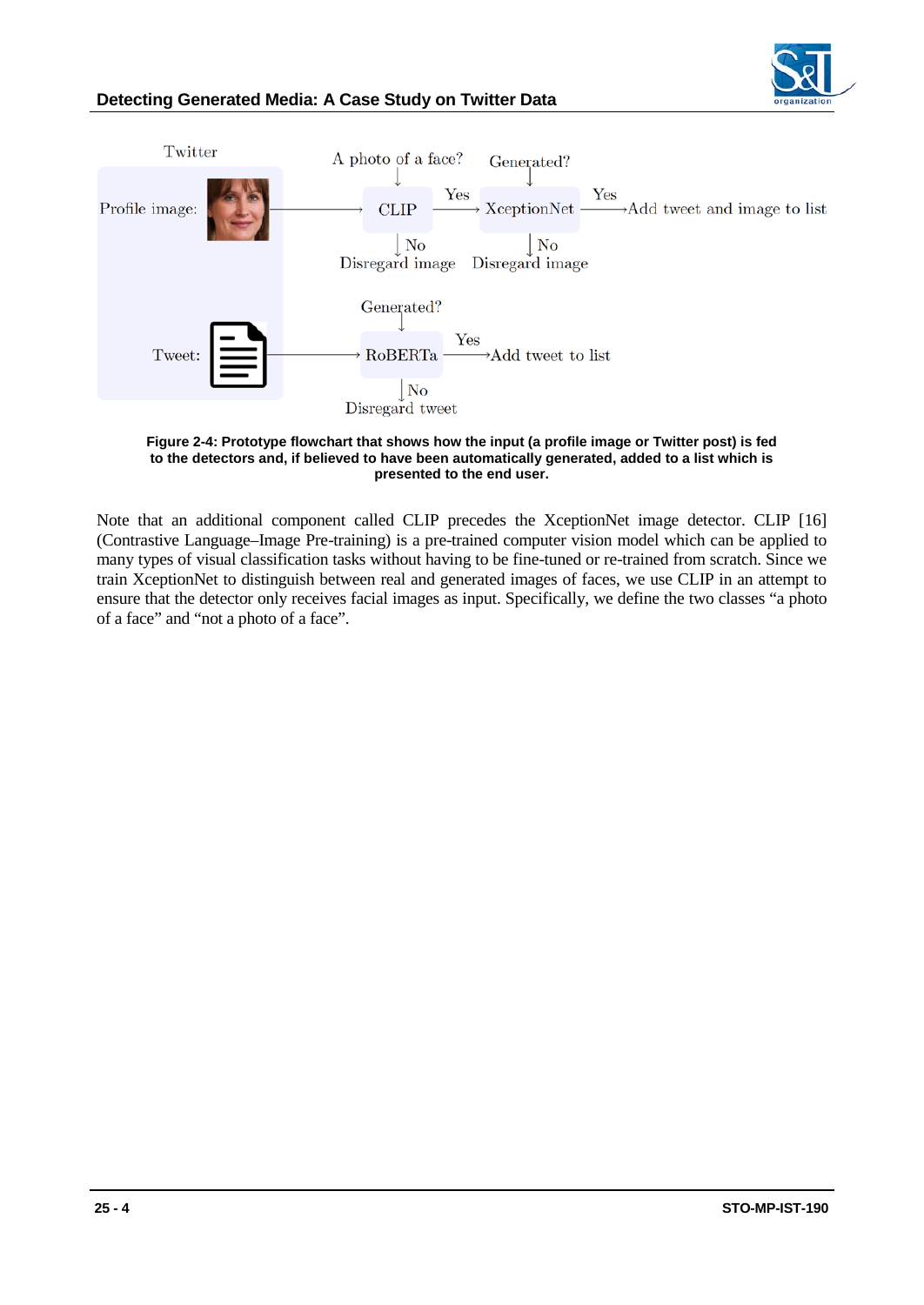

## **Detecting Generated Media: A Case Study on Twitter Data**



#### **Figure 2-4: Prototype flowchart that shows how the input (a profile image or Twitter post) is fed to the detectors and, if believed to have been automatically generated, added to a list which is presented to the end user.**

Note that an additional component called CLIP precedes the XceptionNet image detector. CLIP [16] (Contrastive Language–Image Pre-training) is a pre-trained computer vision model which can be applied to many types of visual classification tasks without having to be fine-tuned or re-trained from scratch. Since we train XceptionNet to distinguish between real and generated images of faces, we use CLIP in an attempt to ensure that the detector only receives facial images as input. Specifically, we define the two classes "a photo of a face" and "not a photo of a face".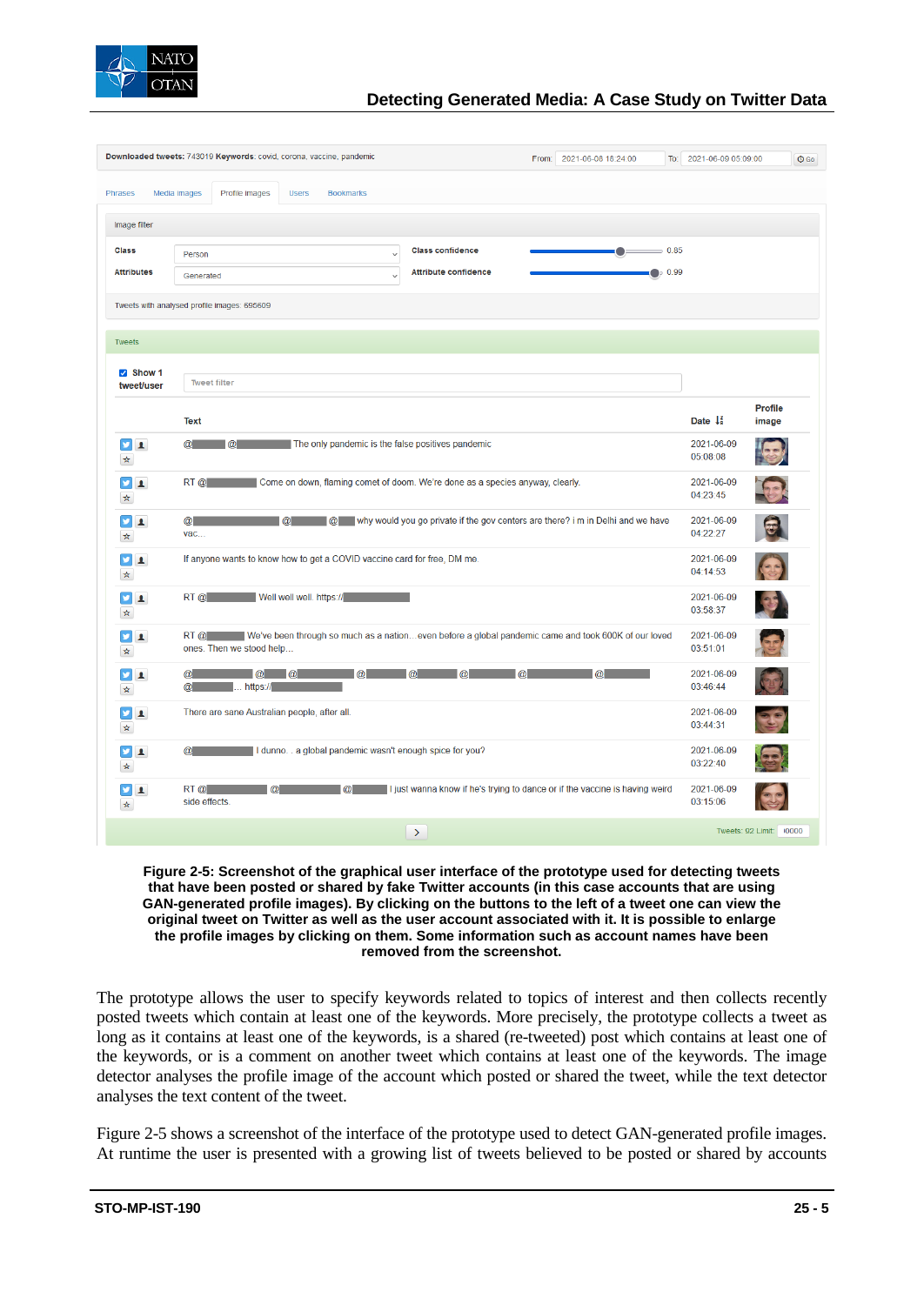

## **Detecting Generated Media: A Case Study on Twitter Data**

| Downloaded tweets: 743019 Keywords: covid, corona, vaccine, pandemic<br>From: 2021-06-08 18:24:00 |                                                                                                                                      |                               | To: 2021-06-09 05:09:00                                                     | $O$ Go                 |                |  |  |  |
|---------------------------------------------------------------------------------------------------|--------------------------------------------------------------------------------------------------------------------------------------|-------------------------------|-----------------------------------------------------------------------------|------------------------|----------------|--|--|--|
| <b>Phrases</b>                                                                                    | Profile images<br>Media images<br><b>Users</b><br><b>Bookmarks</b>                                                                   |                               |                                                                             |                        |                |  |  |  |
| Image filter                                                                                      |                                                                                                                                      |                               |                                                                             |                        |                |  |  |  |
| <b>Class</b>                                                                                      | Person<br>$\checkmark$                                                                                                               | <b>Class confidence</b>       |                                                                             | $= 0.85$               |                |  |  |  |
| <b>Attributes</b>                                                                                 | Generated<br>$\checkmark$                                                                                                            | <b>Attribute confidence</b>   |                                                                             | $\bullet$ 0.99         |                |  |  |  |
| Tweets with analysed profile images: 695609                                                       |                                                                                                                                      |                               |                                                                             |                        |                |  |  |  |
| <b>Tweets</b>                                                                                     |                                                                                                                                      |                               |                                                                             |                        |                |  |  |  |
| $\triangledown$ Show 1                                                                            |                                                                                                                                      |                               |                                                                             |                        |                |  |  |  |
| tweet/user                                                                                        | <b>Tweet filter</b>                                                                                                                  |                               |                                                                             |                        | <b>Profile</b> |  |  |  |
|                                                                                                   | <b>Text</b>                                                                                                                          |                               |                                                                             | Date $\downarrow^2$    | image          |  |  |  |
| <b>Y</b> 1<br>☆                                                                                   | The only pandemic is the false positives pandemic<br>$\omega$<br>$\omega$                                                            |                               |                                                                             | 2021-06-09<br>05:08:08 |                |  |  |  |
| <b>y</b><br>$\blacktriangle$<br>☆                                                                 | Come on down, flaming comet of doom. We're done as a species anyway, clearly.<br>$RT$ $@$                                            | 2021-06-09<br>04:23:45        |                                                                             |                        |                |  |  |  |
| v<br>$\blacktriangle$<br>☆                                                                        | @ why would you go private if the gov centers are there? i m in Delhi and we have<br>$\bm{\omega}$<br>vac                            | 2021-06-09<br>04:22:27        |                                                                             |                        |                |  |  |  |
| y<br>$\blacktriangle$<br>☆                                                                        | If anyone wants to know how to get a COVID vaccine card for free, DM me.                                                             | 2021-06-09<br>04:14:53        |                                                                             |                        |                |  |  |  |
| v<br>$\blacktriangle$<br>☆                                                                        | Well well well. https://<br>RT@                                                                                                      | 2021-06-09<br>03:58:37        |                                                                             |                        |                |  |  |  |
| v<br>$\blacktriangle$<br>$\star$                                                                  | RT @ We've been through so much as a nationeven before a global pandemic came and took 600K of our loved<br>ones. Then we stood help |                               |                                                                             | 2021-06-09<br>03:51:01 |                |  |  |  |
| v<br>$\blacktriangle$<br>$\star$                                                                  | $\omega$<br>$\alpha$<br>$\omega$<br>$\blacksquare$ https://<br>$\omega$                                                              | <u>a la la la la la la la</u> |                                                                             | 2021-06-09<br>03:46:44 |                |  |  |  |
| ¥<br>$\mathbf{A}$<br>$\star$                                                                      | There are sane Australian people, after all.                                                                                         |                               |                                                                             | 2021-06-09<br>03:44:31 |                |  |  |  |
| v.<br>$\blacktriangle$<br>$\star$                                                                 | I dunno. . a global pandemic wasn't enough spice for you?<br>$\omega$                                                                |                               |                                                                             | 2021-06-09<br>03:22:40 |                |  |  |  |
| <b>y</b><br>$\mathbf{A}$<br>$\boldsymbol{\star}$                                                  | $RT$ $\omega$<br>$\omega$<br>$\omega$<br>side effects.                                                                               |                               | I just wanna know if he's trying to dance or if the vaccine is having weird | 2021-06-09<br>03:15:06 |                |  |  |  |
|                                                                                                   |                                                                                                                                      | $\rightarrow$                 |                                                                             | Tweets: 92 Limit:      | 10000          |  |  |  |

#### **Figure 2-5: Screenshot of the graphical user interface of the prototype used for detecting tweets that have been posted or shared by fake Twitter accounts (in this case accounts that are using GAN-generated profile images). By clicking on the buttons to the left of a tweet one can view the original tweet on Twitter as well as the user account associated with it. It is possible to enlarge the profile images by clicking on them. Some information such as account names have been removed from the screenshot.**

The prototype allows the user to specify keywords related to topics of interest and then collects recently posted tweets which contain at least one of the keywords. More precisely, the prototype collects a tweet as long as it contains at least one of the keywords, is a shared (re-tweeted) post which contains at least one of the keywords, or is a comment on another tweet which contains at least one of the keywords. The image detector analyses the profile image of the account which posted or shared the tweet, while the text detector analyses the text content of the tweet.

Figure 2-5 shows a screenshot of the interface of the prototype used to detect GAN-generated profile images. At runtime the user is presented with a growing list of tweets believed to be posted or shared by accounts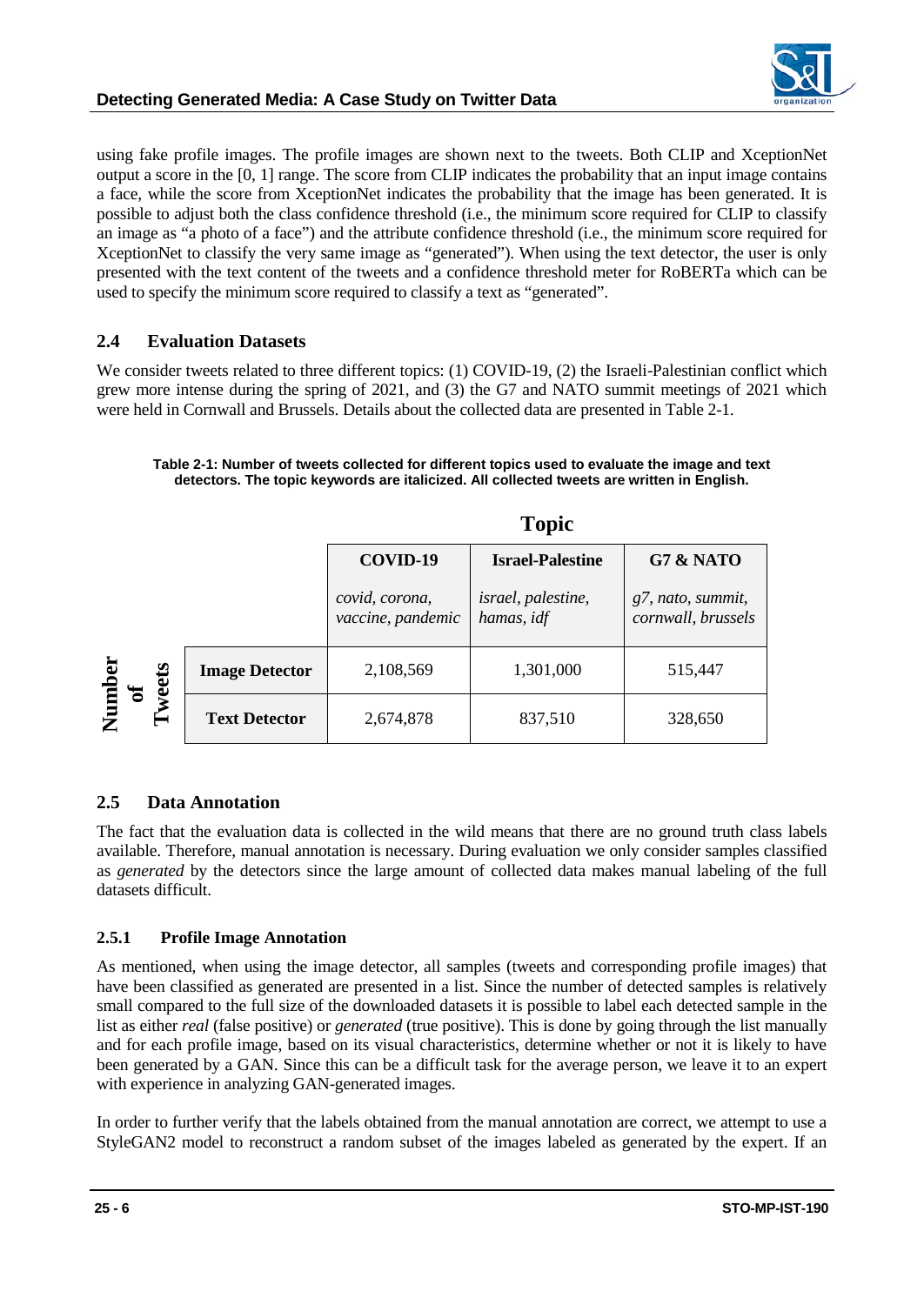

using fake profile images. The profile images are shown next to the tweets. Both CLIP and XceptionNet output a score in the [0, 1] range. The score from CLIP indicates the probability that an input image contains a face, while the score from XceptionNet indicates the probability that the image has been generated. It is possible to adjust both the class confidence threshold (i.e., the minimum score required for CLIP to classify an image as "a photo of a face") and the attribute confidence threshold (i.e., the minimum score required for XceptionNet to classify the very same image as "generated"). When using the text detector, the user is only presented with the text content of the tweets and a confidence threshold meter for RoBERTa which can be used to specify the minimum score required to classify a text as "generated".

## **2.4 Evaluation Datasets**

We consider tweets related to three different topics: (1) COVID-19, (2) the Israeli-Palestinian conflict which grew more intense during the spring of 2021, and (3) the G7 and NATO summit meetings of 2021 which were held in Cornwall and Brussels. Details about the collected data are presented in Table 2-1.

#### **Table 2-1: Number of tweets collected for different topics used to evaluate the image and text detectors. The topic keywords are italicized. All collected tweets are written in English.**

|                  |                       | <b>Topic</b>                        |                                         |                                         |  |  |
|------------------|-----------------------|-------------------------------------|-----------------------------------------|-----------------------------------------|--|--|
|                  |                       | COVID-19                            | <b>Israel-Palestine</b>                 | G7 & NATO                               |  |  |
|                  |                       | covid, corona,<br>vaccine, pandemic | <i>israel, palestine,</i><br>hamas, idf | g7, nato, summit,<br>cornwall, brussels |  |  |
|                  | <b>Image Detector</b> | 2,108,569                           | 1,301,000                               | 515,447                                 |  |  |
| Number<br>Tweets | <b>Text Detector</b>  | 2,674,878                           | 837,510                                 | 328,650                                 |  |  |

## **2.5 Data Annotation**

The fact that the evaluation data is collected in the wild means that there are no ground truth class labels available. Therefore, manual annotation is necessary. During evaluation we only consider samples classified as *generated* by the detectors since the large amount of collected data makes manual labeling of the full datasets difficult.

## **2.5.1 Profile Image Annotation**

As mentioned, when using the image detector, all samples (tweets and corresponding profile images) that have been classified as generated are presented in a list. Since the number of detected samples is relatively small compared to the full size of the downloaded datasets it is possible to label each detected sample in the list as either *real* (false positive) or *generated* (true positive). This is done by going through the list manually and for each profile image, based on its visual characteristics, determine whether or not it is likely to have been generated by a GAN. Since this can be a difficult task for the average person, we leave it to an expert with experience in analyzing GAN-generated images.

In order to further verify that the labels obtained from the manual annotation are correct, we attempt to use a StyleGAN2 model to reconstruct a random subset of the images labeled as generated by the expert. If an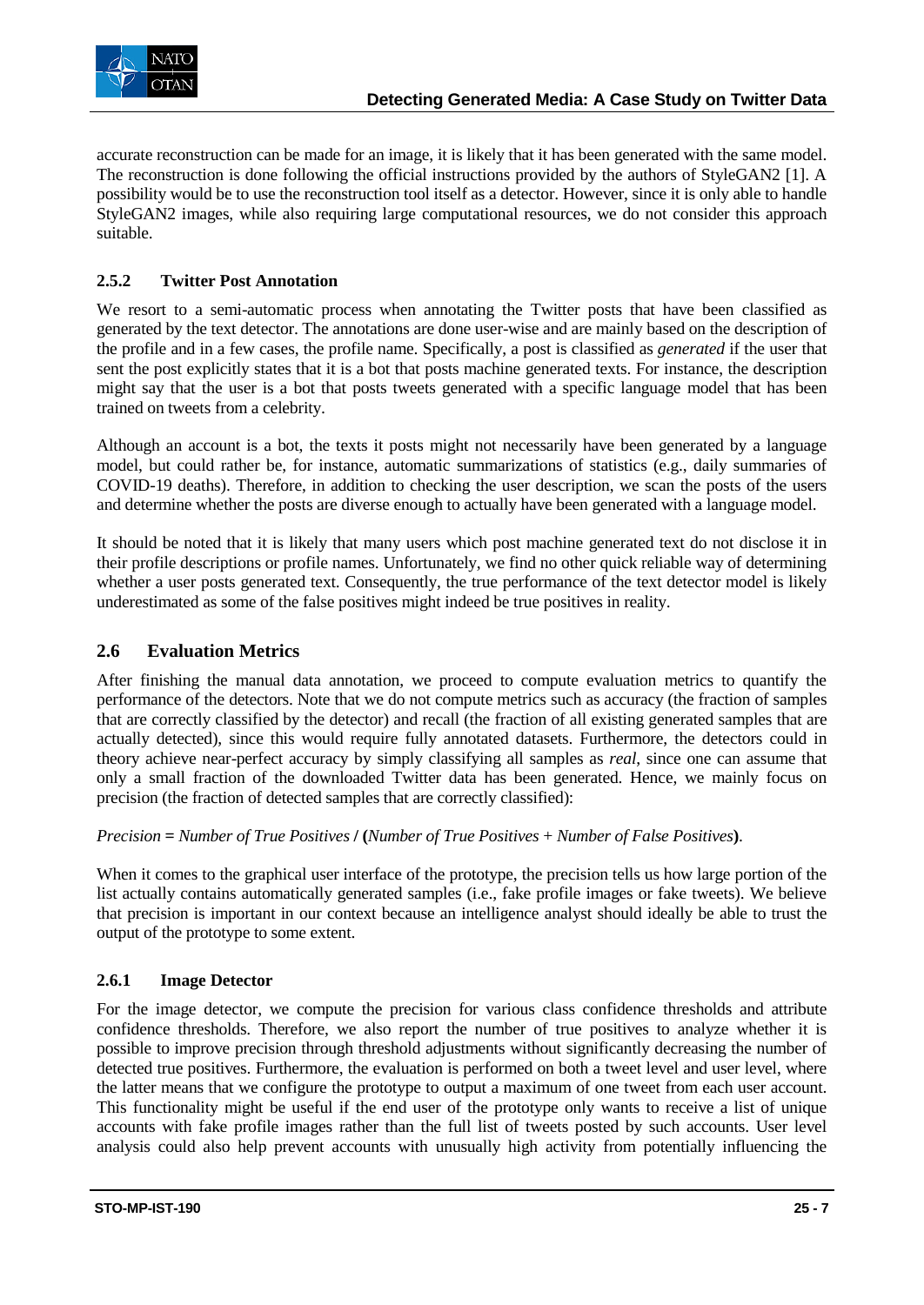

accurate reconstruction can be made for an image, it is likely that it has been generated with the same model. The reconstruction is done following the official instructions provided by the authors of StyleGAN2 [1]. A possibility would be to use the reconstruction tool itself as a detector. However, since it is only able to handle StyleGAN2 images, while also requiring large computational resources, we do not consider this approach suitable.

## **2.5.2 Twitter Post Annotation**

We resort to a semi-automatic process when annotating the Twitter posts that have been classified as generated by the text detector. The annotations are done user-wise and are mainly based on the description of the profile and in a few cases, the profile name. Specifically, a post is classified as *generated* if the user that sent the post explicitly states that it is a bot that posts machine generated texts. For instance, the description might say that the user is a bot that posts tweets generated with a specific language model that has been trained on tweets from a celebrity.

Although an account is a bot, the texts it posts might not necessarily have been generated by a language model, but could rather be, for instance, automatic summarizations of statistics (e.g., daily summaries of COVID-19 deaths). Therefore, in addition to checking the user description, we scan the posts of the users and determine whether the posts are diverse enough to actually have been generated with a language model.

It should be noted that it is likely that many users which post machine generated text do not disclose it in their profile descriptions or profile names. Unfortunately, we find no other quick reliable way of determining whether a user posts generated text. Consequently, the true performance of the text detector model is likely underestimated as some of the false positives might indeed be true positives in reality.

## **2.6 Evaluation Metrics**

After finishing the manual data annotation, we proceed to compute evaluation metrics to quantify the performance of the detectors. Note that we do not compute metrics such as accuracy (the fraction of samples that are correctly classified by the detector) and recall (the fraction of all existing generated samples that are actually detected), since this would require fully annotated datasets. Furthermore, the detectors could in theory achieve near-perfect accuracy by simply classifying all samples as *real*, since one can assume that only a small fraction of the downloaded Twitter data has been generated. Hence, we mainly focus on precision (the fraction of detected samples that are correctly classified):

*Precision* **=** *Number of True Positives* **/ (***Number of True Positives* + *Number of False Positives***)**.

When it comes to the graphical user interface of the prototype, the precision tells us how large portion of the list actually contains automatically generated samples (i.e., fake profile images or fake tweets). We believe that precision is important in our context because an intelligence analyst should ideally be able to trust the output of the prototype to some extent.

### **2.6.1 Image Detector**

For the image detector, we compute the precision for various class confidence thresholds and attribute confidence thresholds. Therefore, we also report the number of true positives to analyze whether it is possible to improve precision through threshold adjustments without significantly decreasing the number of detected true positives. Furthermore, the evaluation is performed on both a tweet level and user level, where the latter means that we configure the prototype to output a maximum of one tweet from each user account. This functionality might be useful if the end user of the prototype only wants to receive a list of unique accounts with fake profile images rather than the full list of tweets posted by such accounts. User level analysis could also help prevent accounts with unusually high activity from potentially influencing the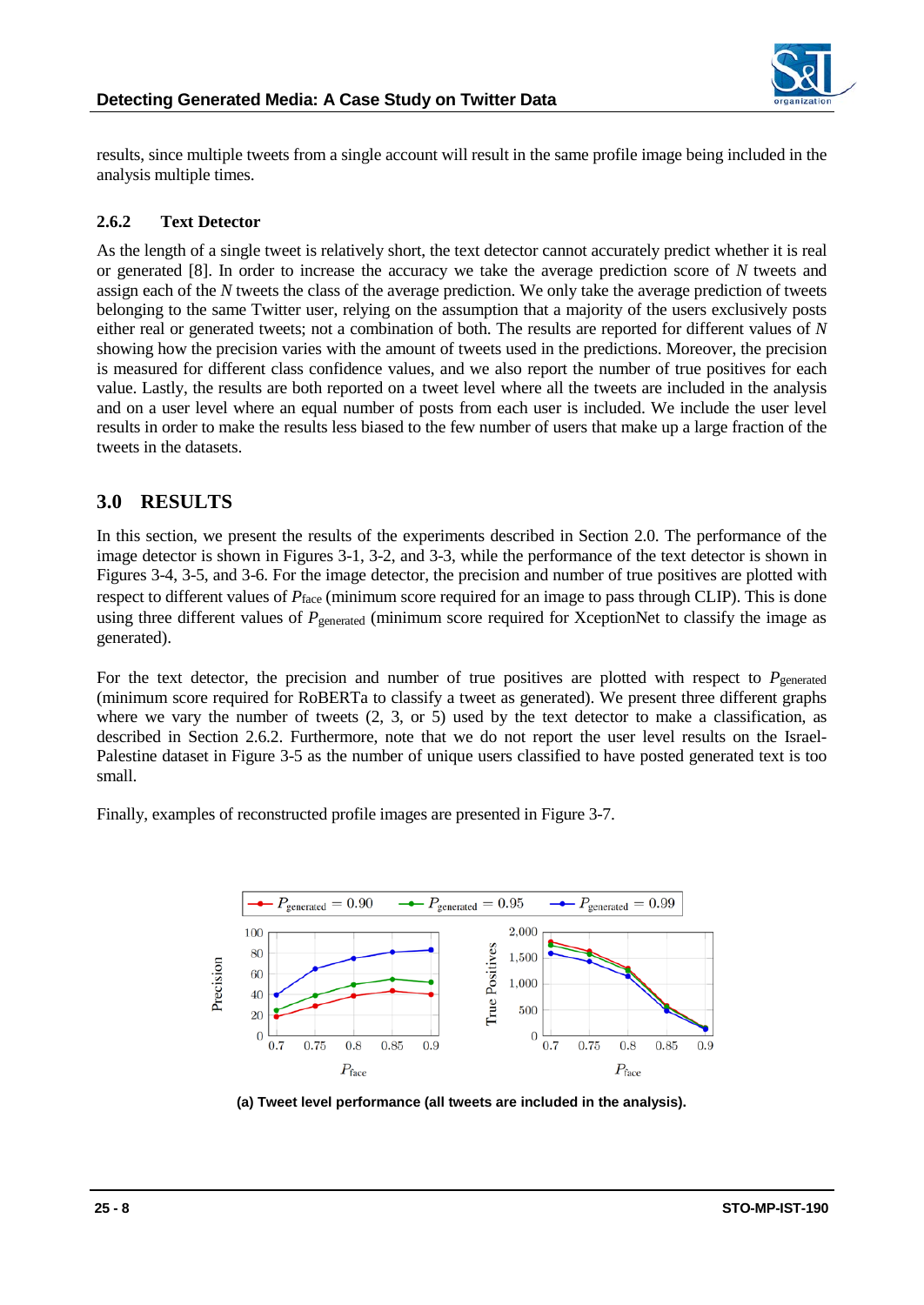

results, since multiple tweets from a single account will result in the same profile image being included in the analysis multiple times.

## **2.6.2 Text Detector**

As the length of a single tweet is relatively short, the text detector cannot accurately predict whether it is real or generated [8]. In order to increase the accuracy we take the average prediction score of *N* tweets and assign each of the *N* tweets the class of the average prediction. We only take the average prediction of tweets belonging to the same Twitter user, relying on the assumption that a majority of the users exclusively posts either real or generated tweets; not a combination of both. The results are reported for different values of *N* showing how the precision varies with the amount of tweets used in the predictions. Moreover, the precision is measured for different class confidence values, and we also report the number of true positives for each value. Lastly, the results are both reported on a tweet level where all the tweets are included in the analysis and on a user level where an equal number of posts from each user is included. We include the user level results in order to make the results less biased to the few number of users that make up a large fraction of the tweets in the datasets.

## **3.0 RESULTS**

In this section, we present the results of the experiments described in Section 2.0. The performance of the image detector is shown in Figures 3-1, 3-2, and 3-3, while the performance of the text detector is shown in Figures 3-4, 3-5, and 3-6. For the image detector, the precision and number of true positives are plotted with respect to different values of  $P_{face}$  (minimum score required for an image to pass through CLIP). This is done using three different values of  $P_{generated}$  (minimum score required for XceptionNet to classify the image as generated).

For the text detector, the precision and number of true positives are plotted with respect to  $P_{generated}$ (minimum score required for RoBERTa to classify a tweet as generated). We present three different graphs where we vary the number of tweets (2, 3, or 5) used by the text detector to make a classification, as described in Section 2.6.2. Furthermore, note that we do not report the user level results on the Israel-Palestine dataset in Figure 3-5 as the number of unique users classified to have posted generated text is too small.

Finally, examples of reconstructed profile images are presented in Figure 3-7.



**(a) Tweet level performance (all tweets are included in the analysis).**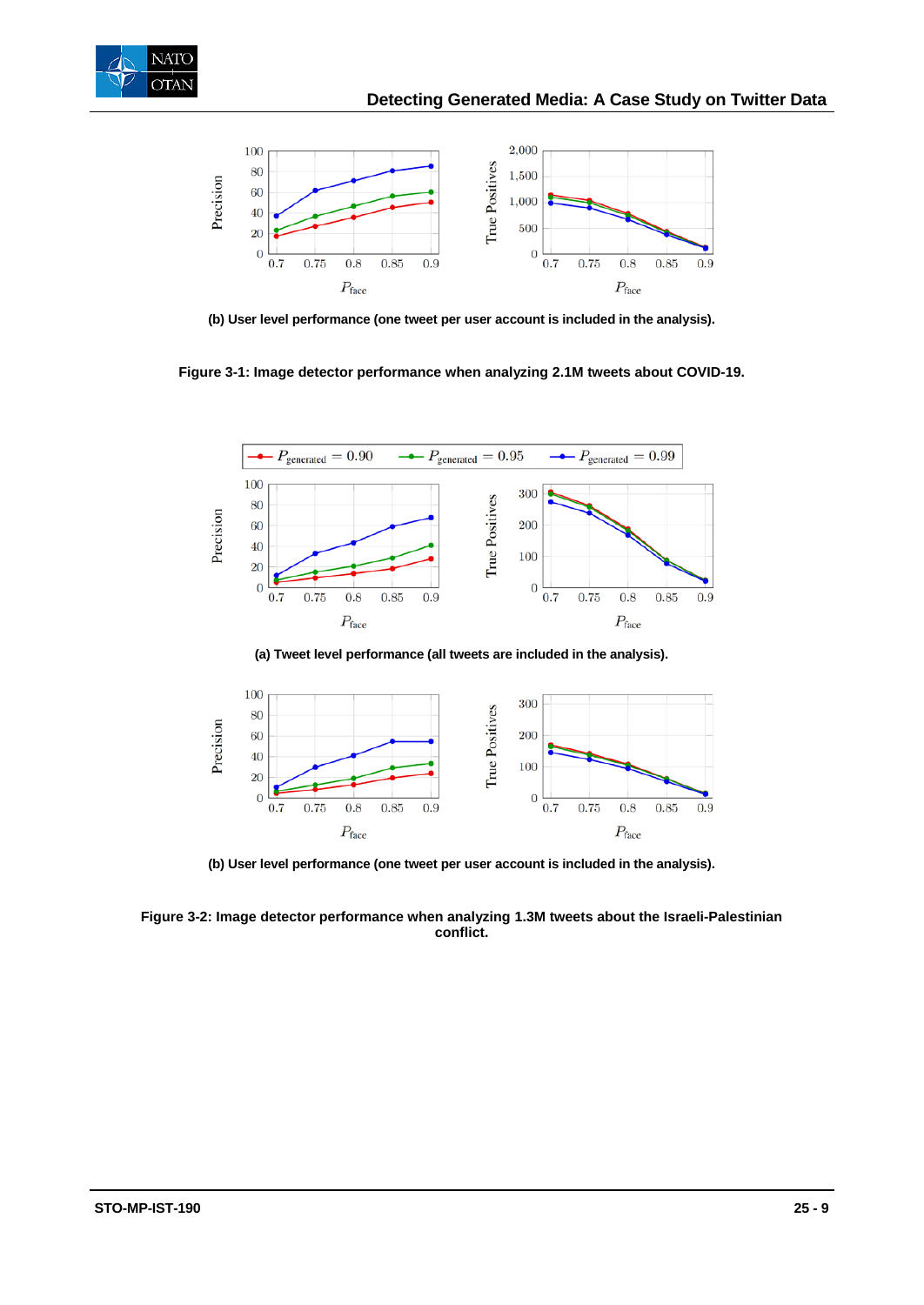



**(b) User level performance (one tweet per user account is included in the analysis).**

**Figure 3-1: Image detector performance when analyzing 2.1M tweets about COVID-19.**



**(a) Tweet level performance (all tweets are included in the analysis).**



**(b) User level performance (one tweet per user account is included in the analysis).**

**Figure 3-2: Image detector performance when analyzing 1.3M tweets about the Israeli-Palestinian conflict.**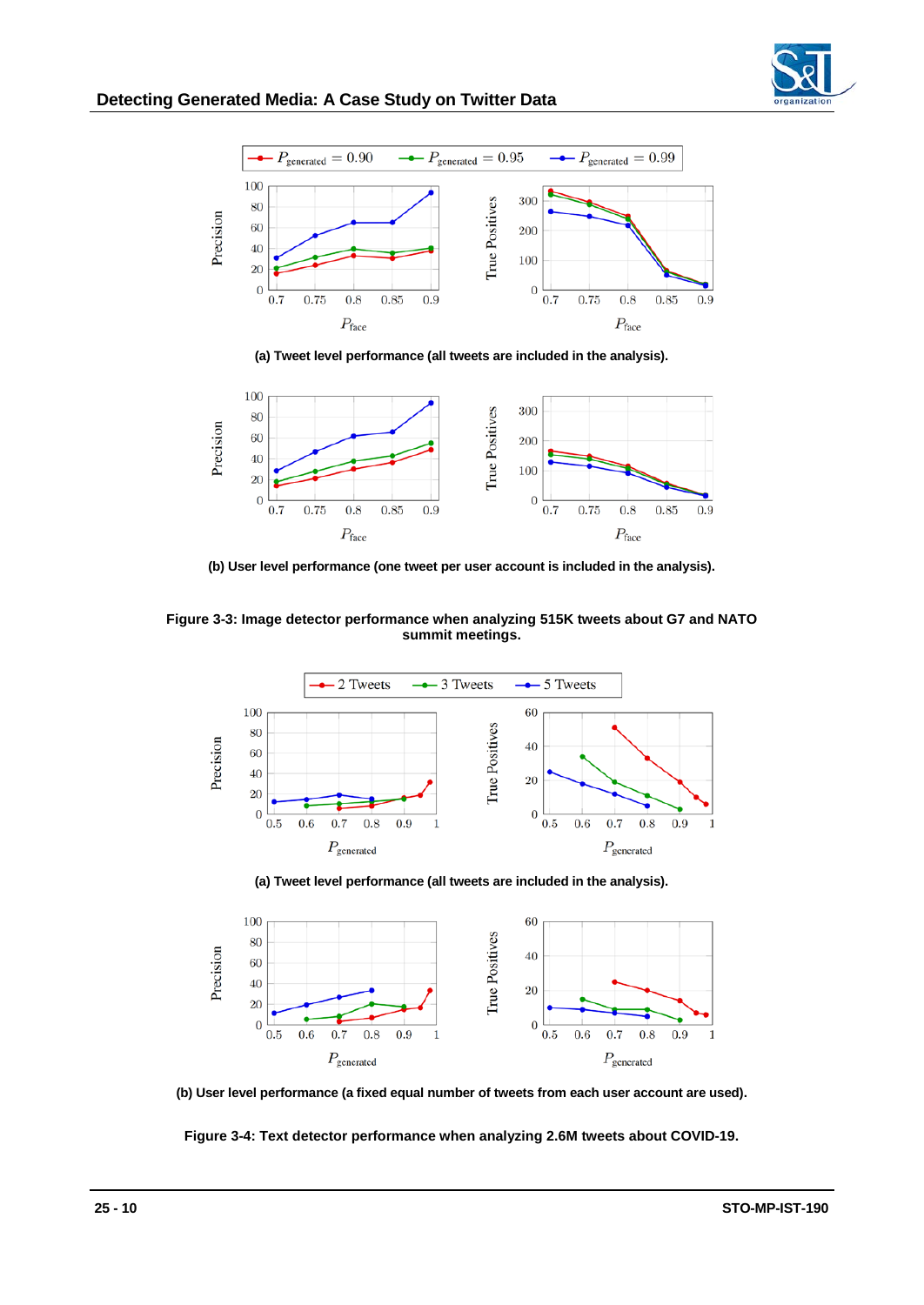



**(a) Tweet level performance (all tweets are included in the analysis).**



**(b) User level performance (one tweet per user account is included in the analysis).**

**Figure 3-3: Image detector performance when analyzing 515K tweets about G7 and NATO summit meetings.**



**(a) Tweet level performance (all tweets are included in the analysis).**



**(b) User level performance (a fixed equal number of tweets from each user account are used).**

**Figure 3-4: Text detector performance when analyzing 2.6M tweets about COVID-19.**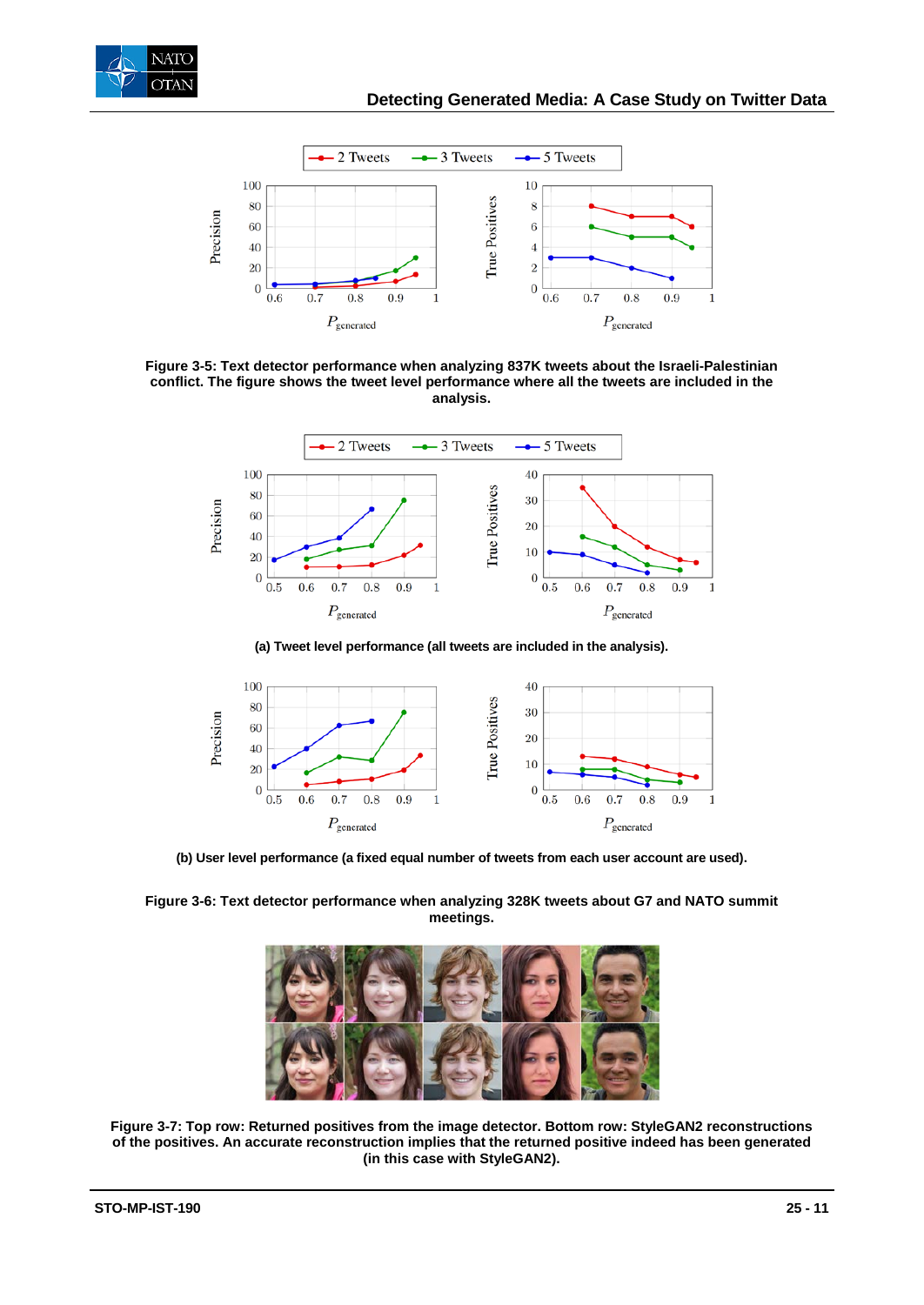



**Figure 3-5: Text detector performance when analyzing 837K tweets about the Israeli-Palestinian conflict. The figure shows the tweet level performance where all the tweets are included in the analysis.**



**(a) Tweet level performance (all tweets are included in the analysis).**



**(b) User level performance (a fixed equal number of tweets from each user account are used).**

**Figure 3-6: Text detector performance when analyzing 328K tweets about G7 and NATO summit meetings.**



**Figure 3-7: Top row: Returned positives from the image detector. Bottom row: StyleGAN2 reconstructions of the positives. An accurate reconstruction implies that the returned positive indeed has been generated (in this case with StyleGAN2).**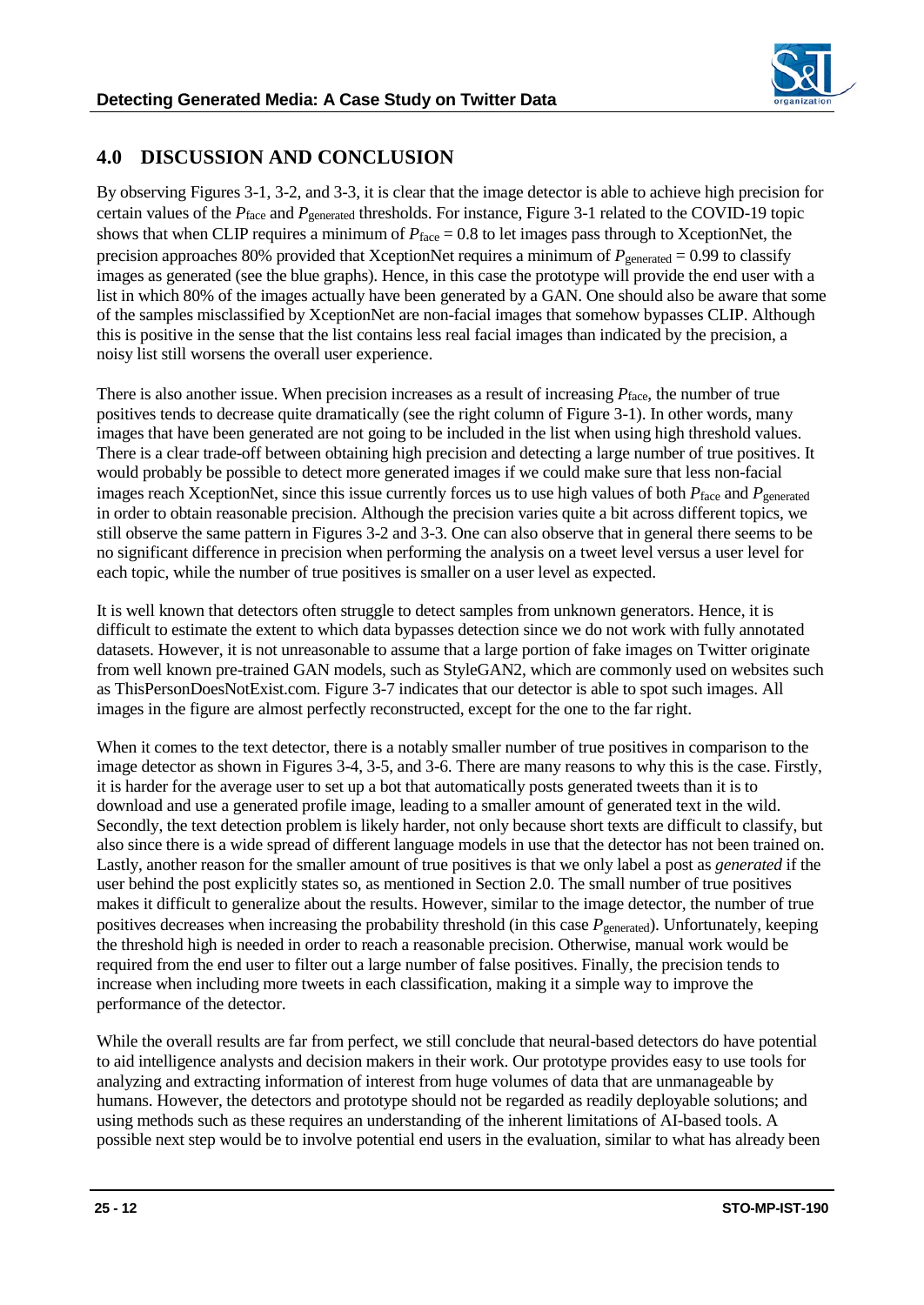

## **4.0 DISCUSSION AND CONCLUSION**

By observing Figures 3-1, 3-2, and 3-3, it is clear that the image detector is able to achieve high precision for certain values of the *P*<sub>face</sub> and *P*<sub>generated</sub> thresholds. For instance, Figure 3-1 related to the COVID-19 topic shows that when CLIP requires a minimum of  $P_{face} = 0.8$  to let images pass through to XceptionNet, the precision approaches 80% provided that XceptionNet requires a minimum of  $P_{generated} = 0.99$  to classify images as generated (see the blue graphs). Hence, in this case the prototype will provide the end user with a list in which 80% of the images actually have been generated by a GAN. One should also be aware that some of the samples misclassified by XceptionNet are non-facial images that somehow bypasses CLIP. Although this is positive in the sense that the list contains less real facial images than indicated by the precision, a noisy list still worsens the overall user experience.

There is also another issue. When precision increases as a result of increasing *P*face, the number of true positives tends to decrease quite dramatically (see the right column of Figure 3-1). In other words, many images that have been generated are not going to be included in the list when using high threshold values. There is a clear trade-off between obtaining high precision and detecting a large number of true positives. It would probably be possible to detect more generated images if we could make sure that less non-facial images reach XceptionNet, since this issue currently forces us to use high values of both  $P_{\text{face}}$  and  $P_{\text{generated}}$ in order to obtain reasonable precision. Although the precision varies quite a bit across different topics, we still observe the same pattern in Figures 3-2 and 3-3. One can also observe that in general there seems to be no significant difference in precision when performing the analysis on a tweet level versus a user level for each topic, while the number of true positives is smaller on a user level as expected.

It is well known that detectors often struggle to detect samples from unknown generators. Hence, it is difficult to estimate the extent to which data bypasses detection since we do not work with fully annotated datasets. However, it is not unreasonable to assume that a large portion of fake images on Twitter originate from well known pre-trained GAN models, such as StyleGAN2, which are commonly used on websites such as ThisPersonDoesNotExist.com. Figure 3-7 indicates that our detector is able to spot such images. All images in the figure are almost perfectly reconstructed, except for the one to the far right.

When it comes to the text detector, there is a notably smaller number of true positives in comparison to the image detector as shown in Figures 3-4, 3-5, and 3-6. There are many reasons to why this is the case. Firstly, it is harder for the average user to set up a bot that automatically posts generated tweets than it is to download and use a generated profile image, leading to a smaller amount of generated text in the wild. Secondly, the text detection problem is likely harder, not only because short texts are difficult to classify, but also since there is a wide spread of different language models in use that the detector has not been trained on. Lastly, another reason for the smaller amount of true positives is that we only label a post as *generated* if the user behind the post explicitly states so, as mentioned in Section 2.0. The small number of true positives makes it difficult to generalize about the results. However, similar to the image detector, the number of true positives decreases when increasing the probability threshold (in this case  $P_{generated}$ ). Unfortunately, keeping the threshold high is needed in order to reach a reasonable precision. Otherwise, manual work would be required from the end user to filter out a large number of false positives. Finally, the precision tends to increase when including more tweets in each classification, making it a simple way to improve the performance of the detector.

While the overall results are far from perfect, we still conclude that neural-based detectors do have potential to aid intelligence analysts and decision makers in their work. Our prototype provides easy to use tools for analyzing and extracting information of interest from huge volumes of data that are unmanageable by humans. However, the detectors and prototype should not be regarded as readily deployable solutions; and using methods such as these requires an understanding of the inherent limitations of AI-based tools. A possible next step would be to involve potential end users in the evaluation, similar to what has already been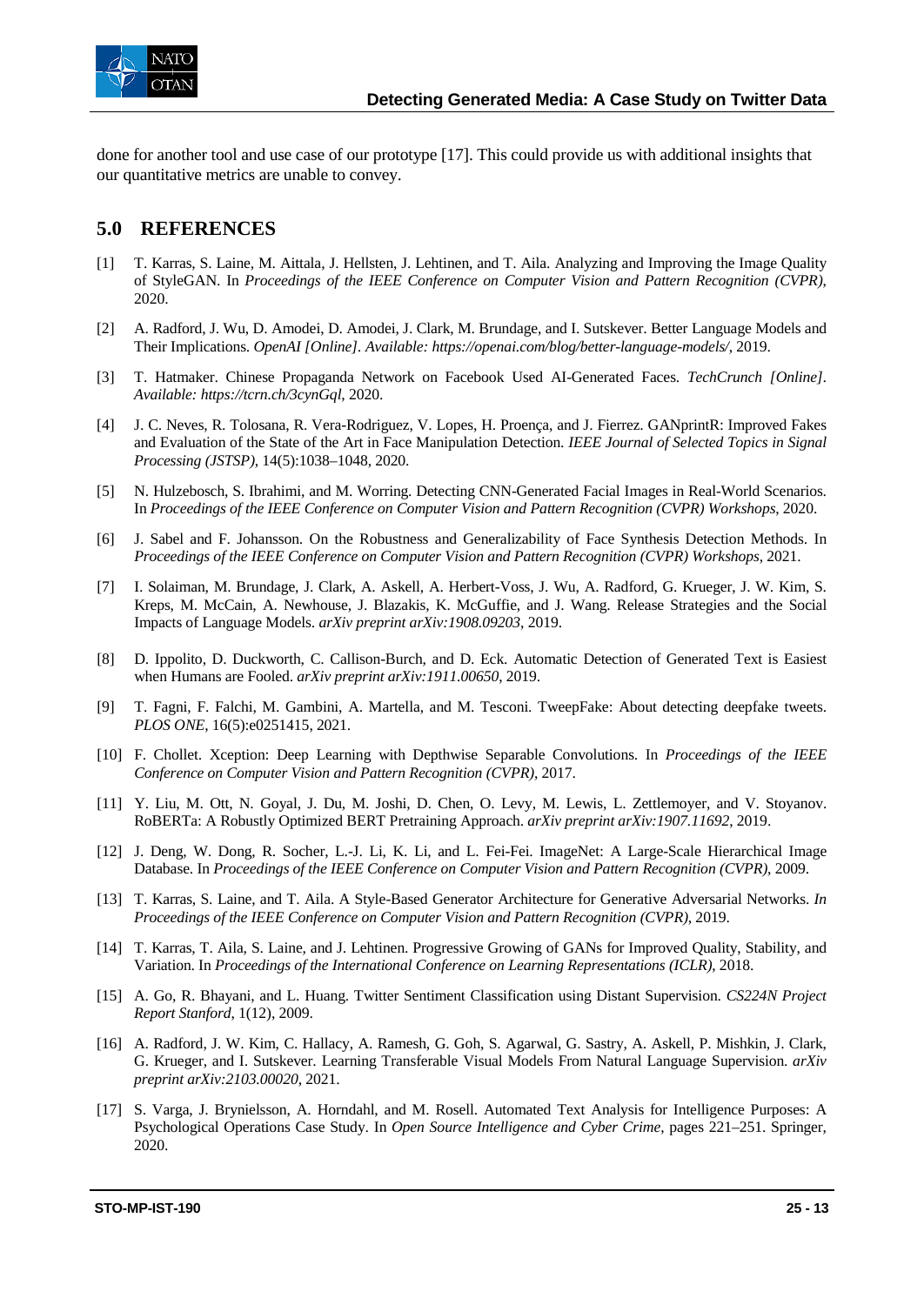

done for another tool and use case of our prototype [17]. This could provide us with additional insights that our quantitative metrics are unable to convey.

## **5.0 REFERENCES**

- [1] T. Karras, S. Laine, M. Aittala, J. Hellsten, J. Lehtinen, and T. Aila. Analyzing and Improving the Image Quality of StyleGAN. In *Proceedings of the IEEE Conference on Computer Vision and Pattern Recognition (CVPR)*, 2020.
- [2] A. Radford, J. Wu, D. Amodei, D. Amodei, J. Clark, M. Brundage, and I. Sutskever. Better Language Models and Their Implications. *OpenAI [Online]. Available: https://openai.com/blog/better-language-models/*, 2019.
- [3] T. Hatmaker. Chinese Propaganda Network on Facebook Used AI-Generated Faces. *TechCrunch [Online]. Available: https://tcrn.ch/3cynGql*, 2020.
- [4] J. C. Neves, R. Tolosana, R. Vera-Rodriguez, V. Lopes, H. Proença, and J. Fierrez. GANprintR: Improved Fakes and Evaluation of the State of the Art in Face Manipulation Detection. *IEEE Journal of Selected Topics in Signal Processing (JSTSP)*, 14(5):1038–1048, 2020.
- [5] N. Hulzebosch, S. Ibrahimi, and M. Worring. Detecting CNN-Generated Facial Images in Real-World Scenarios. In *Proceedings of the IEEE Conference on Computer Vision and Pattern Recognition (CVPR) Workshops*, 2020.
- [6] J. Sabel and F. Johansson. On the Robustness and Generalizability of Face Synthesis Detection Methods. In *Proceedings of the IEEE Conference on Computer Vision and Pattern Recognition (CVPR) Workshops*, 2021.
- [7] I. Solaiman, M. Brundage, J. Clark, A. Askell, A. Herbert-Voss, J. Wu, A. Radford, G. Krueger, J. W. Kim, S. Kreps, M. McCain, A. Newhouse, J. Blazakis, K. McGuffie, and J. Wang. Release Strategies and the Social Impacts of Language Models. *arXiv preprint arXiv:1908.09203*, 2019.
- [8] D. Ippolito, D. Duckworth, C. Callison-Burch, and D. Eck. Automatic Detection of Generated Text is Easiest when Humans are Fooled. *arXiv preprint arXiv:1911.00650*, 2019.
- [9] T. Fagni, F. Falchi, M. Gambini, A. Martella, and M. Tesconi. TweepFake: About detecting deepfake tweets. *PLOS ONE*, 16(5):e0251415, 2021.
- [10] F. Chollet. Xception: Deep Learning with Depthwise Separable Convolutions. In *Proceedings of the IEEE Conference on Computer Vision and Pattern Recognition (CVPR)*, 2017.
- [11] Y. Liu, M. Ott, N. Goyal, J. Du, M. Joshi, D. Chen, O. Levy, M. Lewis, L. Zettlemoyer, and V. Stoyanov. RoBERTa: A Robustly Optimized BERT Pretraining Approach. *arXiv preprint arXiv:1907.11692*, 2019.
- [12] J. Deng, W. Dong, R. Socher, L.-J. Li, K. Li, and L. Fei-Fei. ImageNet: A Large-Scale Hierarchical Image Database. In *Proceedings of the IEEE Conference on Computer Vision and Pattern Recognition (CVPR)*, 2009.
- [13] T. Karras, S. Laine, and T. Aila. A Style-Based Generator Architecture for Generative Adversarial Networks. *In Proceedings of the IEEE Conference on Computer Vision and Pattern Recognition (CVPR)*, 2019.
- [14] T. Karras, T. Aila, S. Laine, and J. Lehtinen. Progressive Growing of GANs for Improved Quality, Stability, and Variation. In *Proceedings of the International Conference on Learning Representations (ICLR)*, 2018.
- [15] A. Go, R. Bhayani, and L. Huang. Twitter Sentiment Classification using Distant Supervision. *CS224N Project Report Stanford*, 1(12), 2009.
- [16] A. Radford, J. W. Kim, C. Hallacy, A. Ramesh, G. Goh, S. Agarwal, G. Sastry, A. Askell, P. Mishkin, J. Clark, G. Krueger, and I. Sutskever. Learning Transferable Visual Models From Natural Language Supervision. *arXiv preprint arXiv:2103.00020*, 2021.
- [17] S. Varga, J. Brynielsson, A. Horndahl, and M. Rosell. Automated Text Analysis for Intelligence Purposes: A Psychological Operations Case Study. In *Open Source Intelligence and Cyber Crime*, pages 221–251. Springer, 2020.